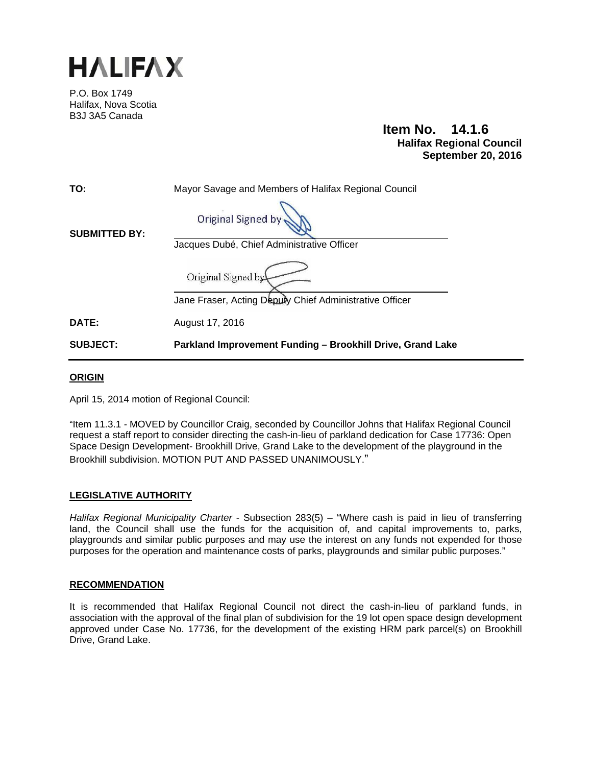

P.O. Box 1749 Halifax, Nova Scotia B3J 3A5 Canada

> **Item No. 14.1.6 Halifax Regional Council September 20, 2016**

| TO:                  | Mayor Savage and Members of Halifax Regional Council       |
|----------------------|------------------------------------------------------------|
| <b>SUBMITTED BY:</b> | Original Signed by                                         |
|                      | Jacques Dubé, Chief Administrative Officer                 |
|                      | Original Signed by                                         |
|                      | Jane Fraser, Acting Deputy Chief Administrative Officer    |
| DATE:                | August 17, 2016                                            |
| <b>SUBJECT:</b>      | Parkland Improvement Funding - Brookhill Drive, Grand Lake |

## **ORIGIN**

April 15, 2014 motion of Regional Council:

"Item 11.3.1 *-* MOVED by Councillor Craig, seconded by Councillor Johns that Halifax Regional Council request a staff report to consider directing the cash-in-lieu of parkland dedication for Case 17736: Open Space Design Development- Brookhill Drive, Grand Lake to the development of the playground in the Brookhill subdivision. MOTION PUT AND PASSED UNANIMOUSLY."

#### **LEGISLATIVE AUTHORITY**

*Halifax Regional Municipality Charter* - Subsection 283(5) – "Where cash is paid in lieu of transferring land, the Council shall use the funds for the acquisition of, and capital improvements to, parks, playgrounds and similar public purposes and may use the interest on any funds not expended for those purposes for the operation and maintenance costs of parks, playgrounds and similar public purposes."

#### **RECOMMENDATION**

It is recommended that Halifax Regional Council not direct the cash-in-lieu of parkland funds, in association with the approval of the final plan of subdivision for the 19 lot open space design development approved under Case No. 17736, for the development of the existing HRM park parcel(s) on Brookhill Drive, Grand Lake.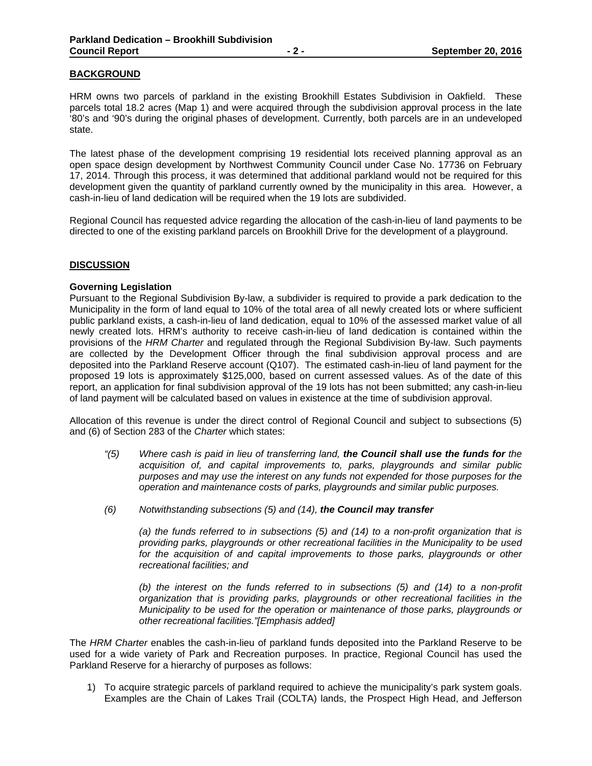## **BACKGROUND**

HRM owns two parcels of parkland in the existing Brookhill Estates Subdivision in Oakfield. These parcels total 18.2 acres (Map 1) and were acquired through the subdivision approval process in the late '80's and '90's during the original phases of development. Currently, both parcels are in an undeveloped state.

The latest phase of the development comprising 19 residential lots received planning approval as an open space design development by Northwest Community Council under Case No. 17736 on February 17, 2014. Through this process, it was determined that additional parkland would not be required for this development given the quantity of parkland currently owned by the municipality in this area. However, a cash-in-lieu of land dedication will be required when the 19 lots are subdivided.

Regional Council has requested advice regarding the allocation of the cash-in-lieu of land payments to be directed to one of the existing parkland parcels on Brookhill Drive for the development of a playground.

#### **DISCUSSION**

#### **Governing Legislation**

Pursuant to the Regional Subdivision By-law, a subdivider is required to provide a park dedication to the Municipality in the form of land equal to 10% of the total area of all newly created lots or where sufficient public parkland exists, a cash-in-lieu of land dedication, equal to 10% of the assessed market value of all newly created lots. HRM's authority to receive cash-in-lieu of land dedication is contained within the provisions of the *HRM Charter* and regulated through the Regional Subdivision By-law. Such payments are collected by the Development Officer through the final subdivision approval process and are deposited into the Parkland Reserve account (Q107). The estimated cash-in-lieu of land payment for the proposed 19 lots is approximately \$125,000, based on current assessed values. As of the date of this report, an application for final subdivision approval of the 19 lots has not been submitted; any cash-in-lieu of land payment will be calculated based on values in existence at the time of subdivision approval.

Allocation of this revenue is under the direct control of Regional Council and subject to subsections (5) and (6) of Section 283 of the *Charter* which states:

- *"(5) Where cash is paid in lieu of transferring land, the Council shall use the funds for the acquisition of, and capital improvements to, parks, playgrounds and similar public purposes and may use the interest on any funds not expended for those purposes for the operation and maintenance costs of parks, playgrounds and similar public purposes.*
- *(6) Notwithstanding subsections (5) and (14), the Council may transfer*

*(a) the funds referred to in subsections (5) and (14) to a non-profit organization that is providing parks, playgrounds or other recreational facilities in the Municipality to be used*  for the acquisition of and capital improvements to those parks, playgrounds or other *recreational facilities; and* 

*(b) the interest on the funds referred to in subsections (5) and (14) to a non-profit organization that is providing parks, playgrounds or other recreational facilities in the Municipality to be used for the operation or maintenance of those parks, playgrounds or other recreational facilities."[Emphasis added]* 

The *HRM Charter* enables the cash-in-lieu of parkland funds deposited into the Parkland Reserve to be used for a wide variety of Park and Recreation purposes. In practice, Regional Council has used the Parkland Reserve for a hierarchy of purposes as follows:

1) To acquire strategic parcels of parkland required to achieve the municipality's park system goals. Examples are the Chain of Lakes Trail (COLTA) lands, the Prospect High Head, and Jefferson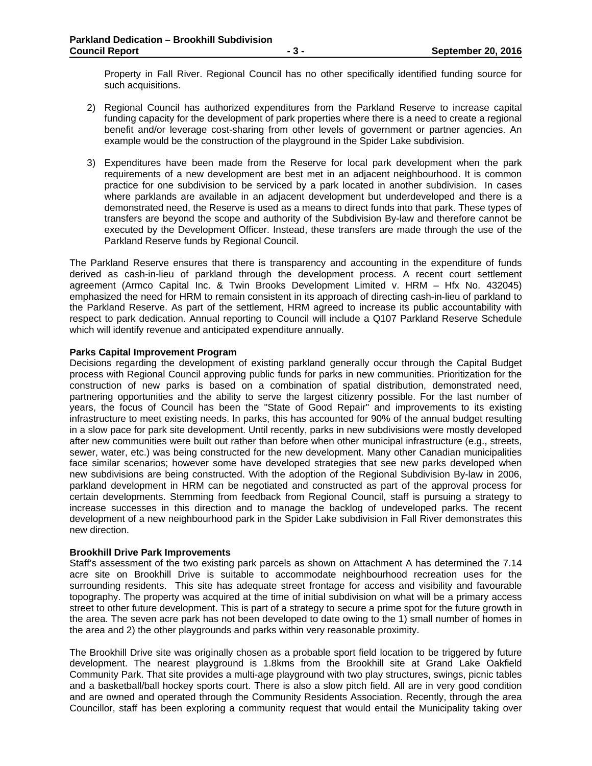Property in Fall River. Regional Council has no other specifically identified funding source for such acquisitions.

- 2) Regional Council has authorized expenditures from the Parkland Reserve to increase capital funding capacity for the development of park properties where there is a need to create a regional benefit and/or leverage cost-sharing from other levels of government or partner agencies. An example would be the construction of the playground in the Spider Lake subdivision.
- 3) Expenditures have been made from the Reserve for local park development when the park requirements of a new development are best met in an adjacent neighbourhood. It is common practice for one subdivision to be serviced by a park located in another subdivision. In cases where parklands are available in an adjacent development but underdeveloped and there is a demonstrated need, the Reserve is used as a means to direct funds into that park. These types of transfers are beyond the scope and authority of the Subdivision By-law and therefore cannot be executed by the Development Officer. Instead, these transfers are made through the use of the Parkland Reserve funds by Regional Council.

The Parkland Reserve ensures that there is transparency and accounting in the expenditure of funds derived as cash-in-lieu of parkland through the development process. A recent court settlement agreement (Armco Capital Inc. & Twin Brooks Development Limited v. HRM – Hfx No. 432045) emphasized the need for HRM to remain consistent in its approach of directing cash-in-lieu of parkland to the Parkland Reserve. As part of the settlement, HRM agreed to increase its public accountability with respect to park dedication. Annual reporting to Council will include a Q107 Parkland Reserve Schedule which will identify revenue and anticipated expenditure annually.

#### **Parks Capital Improvement Program**

Decisions regarding the development of existing parkland generally occur through the Capital Budget process with Regional Council approving public funds for parks in new communities. Prioritization for the construction of new parks is based on a combination of spatial distribution, demonstrated need, partnering opportunities and the ability to serve the largest citizenry possible. For the last number of years, the focus of Council has been the "State of Good Repair" and improvements to its existing infrastructure to meet existing needs. In parks, this has accounted for 90% of the annual budget resulting in a slow pace for park site development. Until recently, parks in new subdivisions were mostly developed after new communities were built out rather than before when other municipal infrastructure (e.g., streets, sewer, water, etc.) was being constructed for the new development. Many other Canadian municipalities face similar scenarios; however some have developed strategies that see new parks developed when new subdivisions are being constructed. With the adoption of the Regional Subdivision By-law in 2006, parkland development in HRM can be negotiated and constructed as part of the approval process for certain developments. Stemming from feedback from Regional Council, staff is pursuing a strategy to increase successes in this direction and to manage the backlog of undeveloped parks. The recent development of a new neighbourhood park in the Spider Lake subdivision in Fall River demonstrates this new direction.

#### **Brookhill Drive Park Improvements**

Staff's assessment of the two existing park parcels as shown on Attachment A has determined the 7.14 acre site on Brookhill Drive is suitable to accommodate neighbourhood recreation uses for the surrounding residents. This site has adequate street frontage for access and visibility and favourable topography. The property was acquired at the time of initial subdivision on what will be a primary access street to other future development. This is part of a strategy to secure a prime spot for the future growth in the area. The seven acre park has not been developed to date owing to the 1) small number of homes in the area and 2) the other playgrounds and parks within very reasonable proximity.

The Brookhill Drive site was originally chosen as a probable sport field location to be triggered by future development. The nearest playground is 1.8kms from the Brookhill site at Grand Lake Oakfield Community Park. That site provides a multi-age playground with two play structures, swings, picnic tables and a basketball/ball hockey sports court. There is also a slow pitch field. All are in very good condition and are owned and operated through the Community Residents Association. Recently, through the area Councillor, staff has been exploring a community request that would entail the Municipality taking over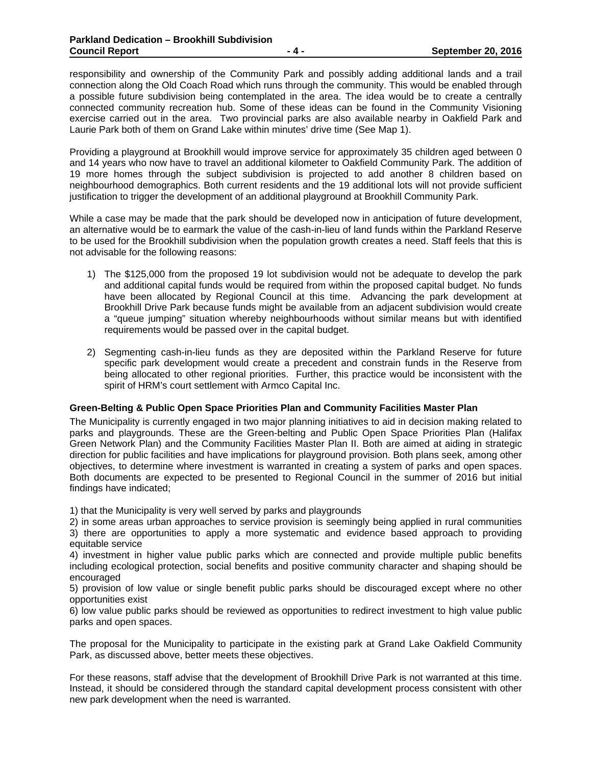responsibility and ownership of the Community Park and possibly adding additional lands and a trail connection along the Old Coach Road which runs through the community. This would be enabled through a possible future subdivision being contemplated in the area. The idea would be to create a centrally connected community recreation hub. Some of these ideas can be found in the Community Visioning exercise carried out in the area. Two provincial parks are also available nearby in Oakfield Park and Laurie Park both of them on Grand Lake within minutes' drive time (See Map 1).

Providing a playground at Brookhill would improve service for approximately 35 children aged between 0 and 14 years who now have to travel an additional kilometer to Oakfield Community Park. The addition of 19 more homes through the subject subdivision is projected to add another 8 children based on neighbourhood demographics. Both current residents and the 19 additional lots will not provide sufficient justification to trigger the development of an additional playground at Brookhill Community Park.

While a case may be made that the park should be developed now in anticipation of future development, an alternative would be to earmark the value of the cash-in-lieu of land funds within the Parkland Reserve to be used for the Brookhill subdivision when the population growth creates a need. Staff feels that this is not advisable for the following reasons:

- 1) The \$125,000 from the proposed 19 lot subdivision would not be adequate to develop the park and additional capital funds would be required from within the proposed capital budget. No funds have been allocated by Regional Council at this time. Advancing the park development at Brookhill Drive Park because funds might be available from an adjacent subdivision would create a "queue jumping" situation whereby neighbourhoods without similar means but with identified requirements would be passed over in the capital budget.
- 2) Segmenting cash-in-lieu funds as they are deposited within the Parkland Reserve for future specific park development would create a precedent and constrain funds in the Reserve from being allocated to other regional priorities. Further, this practice would be inconsistent with the spirit of HRM's court settlement with Armco Capital Inc.

# **Green-Belting & Public Open Space Priorities Plan and Community Facilities Master Plan**

The Municipality is currently engaged in two major planning initiatives to aid in decision making related to parks and playgrounds. These are the Green-belting and Public Open Space Priorities Plan (Halifax Green Network Plan) and the Community Facilities Master Plan II. Both are aimed at aiding in strategic direction for public facilities and have implications for playground provision. Both plans seek, among other objectives, to determine where investment is warranted in creating a system of parks and open spaces. Both documents are expected to be presented to Regional Council in the summer of 2016 but initial findings have indicated;

1) that the Municipality is very well served by parks and playgrounds

2) in some areas urban approaches to service provision is seemingly being applied in rural communities 3) there are opportunities to apply a more systematic and evidence based approach to providing equitable service

4) investment in higher value public parks which are connected and provide multiple public benefits including ecological protection, social benefits and positive community character and shaping should be encouraged

5) provision of low value or single benefit public parks should be discouraged except where no other opportunities exist

6) low value public parks should be reviewed as opportunities to redirect investment to high value public parks and open spaces.

The proposal for the Municipality to participate in the existing park at Grand Lake Oakfield Community Park, as discussed above, better meets these objectives.

For these reasons, staff advise that the development of Brookhill Drive Park is not warranted at this time. Instead, it should be considered through the standard capital development process consistent with other new park development when the need is warranted.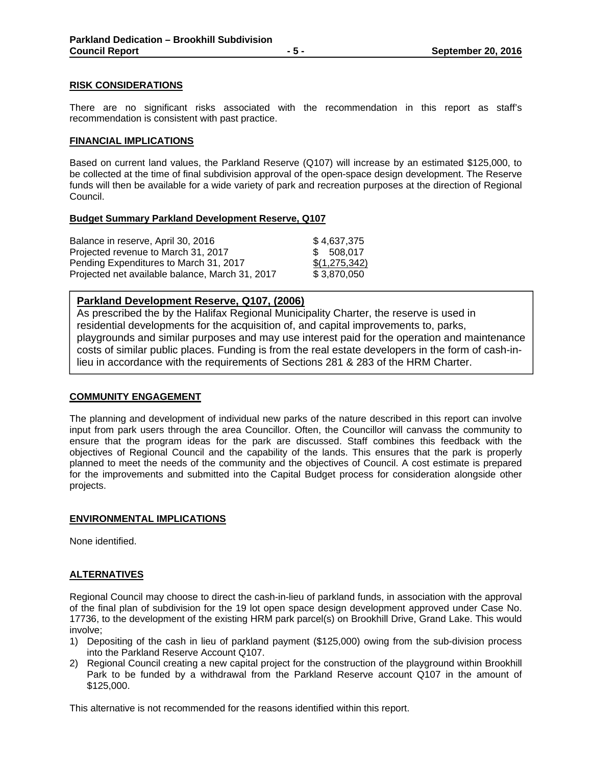#### **RISK CONSIDERATIONS**

There are no significant risks associated with the recommendation in this report as staff's recommendation is consistent with past practice.

#### **FINANCIAL IMPLICATIONS**

Based on current land values, the Parkland Reserve (Q107) will increase by an estimated \$125,000, to be collected at the time of final subdivision approval of the open-space design development. The Reserve funds will then be available for a wide variety of park and recreation purposes at the direction of Regional Council.

## **Budget Summary Parkland Development Reserve, Q107**

| Balance in reserve, April 30, 2016              | \$4,637,375   |
|-------------------------------------------------|---------------|
| Projected revenue to March 31, 2017             | \$ 508,017    |
| Pending Expenditures to March 31, 2017          | \$(1,275,342) |
| Projected net available balance, March 31, 2017 | \$3.870.050   |

# **Parkland Development Reserve, Q107, (2006)**

As prescribed the by the Halifax Regional Municipality Charter, the reserve is used in residential developments for the acquisition of, and capital improvements to, parks, playgrounds and similar purposes and may use interest paid for the operation and maintenance costs of similar public places. Funding is from the real estate developers in the form of cash-inlieu in accordance with the requirements of Sections 281 & 283 of the HRM Charter.

#### **COMMUNITY ENGAGEMENT**

The planning and development of individual new parks of the nature described in this report can involve input from park users through the area Councillor. Often, the Councillor will canvass the community to ensure that the program ideas for the park are discussed. Staff combines this feedback with the objectives of Regional Council and the capability of the lands. This ensures that the park is properly planned to meet the needs of the community and the objectives of Council. A cost estimate is prepared for the improvements and submitted into the Capital Budget process for consideration alongside other projects.

# **ENVIRONMENTAL IMPLICATIONS**

None identified.

# **ALTERNATIVES**

Regional Council may choose to direct the cash-in-lieu of parkland funds, in association with the approval of the final plan of subdivision for the 19 lot open space design development approved under Case No. 17736, to the development of the existing HRM park parcel(s) on Brookhill Drive, Grand Lake. This would involve;

- 1) Depositing of the cash in lieu of parkland payment (\$125,000) owing from the sub-division process into the Parkland Reserve Account Q107.
- 2) Regional Council creating a new capital project for the construction of the playground within Brookhill Park to be funded by a withdrawal from the Parkland Reserve account Q107 in the amount of \$125,000.

This alternative is not recommended for the reasons identified within this report.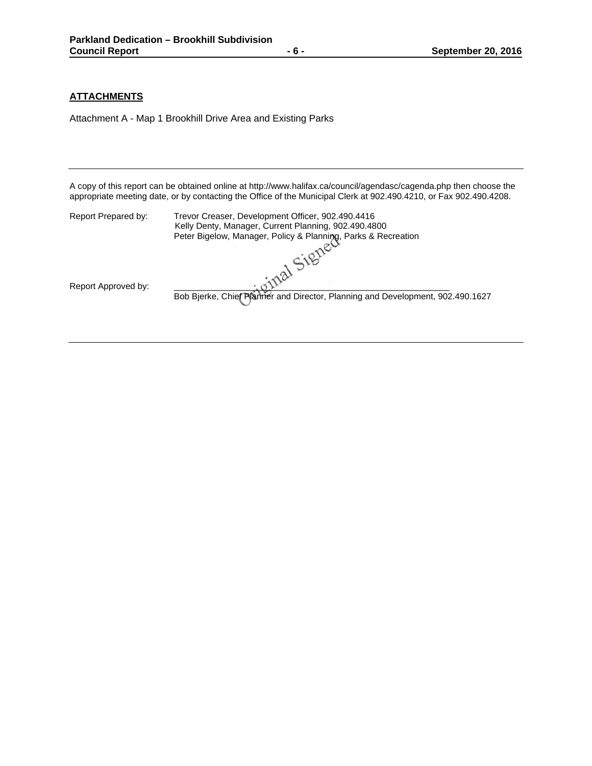# **ATTACHMENTS**

Attachment A - Map 1 Brookhill Drive Area and Existing Parks

A copy of this report can be obtained online at http://www.halifax.ca/council/agendasc/cagenda.php then choose the appropriate meeting date, or by contacting the Office of the Municipal Clerk at 902.490.4210, or Fax 902.490.4208.

| Report Prepared by: | Trevor Creaser, Development Officer, 902.490.4416<br>Kelly Denty, Manager, Current Planning, 902.490.4800<br>Peter Bigelow, Manager, Policy & Planning, Parks & Recreation |
|---------------------|----------------------------------------------------------------------------------------------------------------------------------------------------------------------------|
|                     |                                                                                                                                                                            |
| Report Approved by: | Bob Bjerke, Chief Planner and Director, Planning and Development, 902.490.1627                                                                                             |